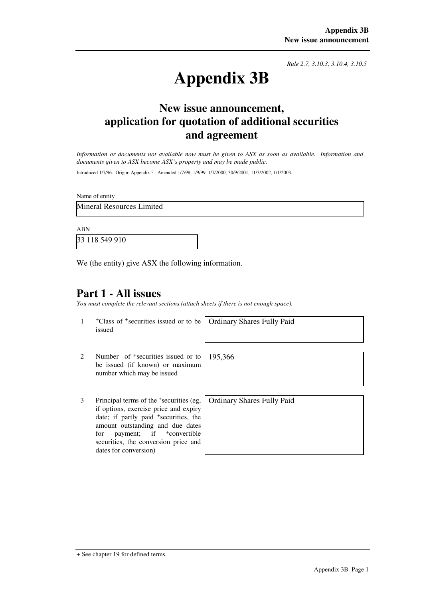*Rule 2.7, 3.10.3, 3.10.4, 3.10.5*

# **Appendix 3B**

## **New issue announcement, application for quotation of additional securities and agreement**

*Information or documents not available now must be given to ASX as soon as available. Information and documents given to ASX become ASX's property and may be made public.* 

Introduced 1/7/96. Origin: Appendix 5. Amended 1/7/98, 1/9/99, 1/7/2000, 30/9/2001, 11/3/2002, 1/1/2003.

Name of entity

Mineral Resources Limited

ABN

33 118 549 910

We (the entity) give ASX the following information.

#### **Part 1 - All issues**

*You must complete the relevant sections (attach sheets if there is not enough space).*

1 +Class of +securities issued or to be issued

Ordinary Shares Fully Paid

- 2 Number of <sup>+</sup>securities issued or to be issued (if known) or maximum number which may be issued 195,366
- 3 Principal terms of the <sup>+</sup> securities (eg, if options, exercise price and expiry date; if partly paid <sup>+</sup>securities, the amount outstanding and due dates for payment; if  $\pm$ convertible securities, the conversion price and dates for conversion)

Ordinary Shares Fully Paid

<sup>+</sup> See chapter 19 for defined terms.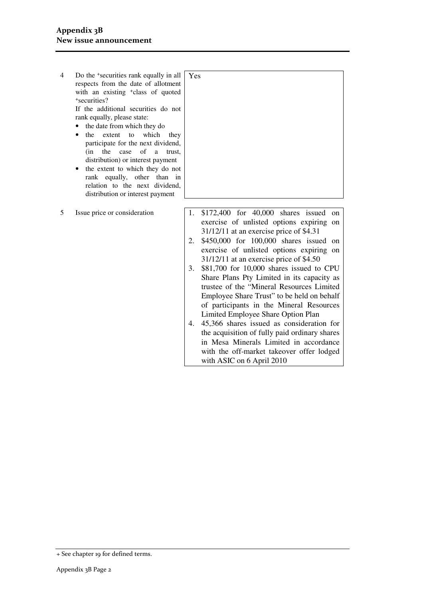- 4 Do the <sup>+</sup> securities rank equally in all respects from the date of allotment with an existing <sup>+</sup>class of quoted + securities? If the additional securities do not rank equally, please state: Yes
	- the date from which they do
	- the extent to which they participate for the next dividend, (in the case of a trust, distribution) or interest payment
	- the extent to which they do not rank equally, other than in relation to the next dividend, distribution or interest payment
- 
- 5 Issue price or consideration 1. \$172,400 for 40,000 shares issued on exercise of unlisted options expiring on 31/12/11 at an exercise price of \$4.31
	- 2. \$450,000 for 100,000 shares issued on exercise of unlisted options expiring on 31/12/11 at an exercise price of \$4.50
	- 3. \$81,700 for 10,000 shares issued to CPU Share Plans Pty Limited in its capacity as trustee of the "Mineral Resources Limited Employee Share Trust" to be held on behalf of participants in the Mineral Resources Limited Employee Share Option Plan
	- 4. 45,366 shares issued as consideration for the acquisition of fully paid ordinary shares in Mesa Minerals Limited in accordance with the off-market takeover offer lodged with ASIC on 6 April 2010

<sup>+</sup> See chapter 19 for defined terms.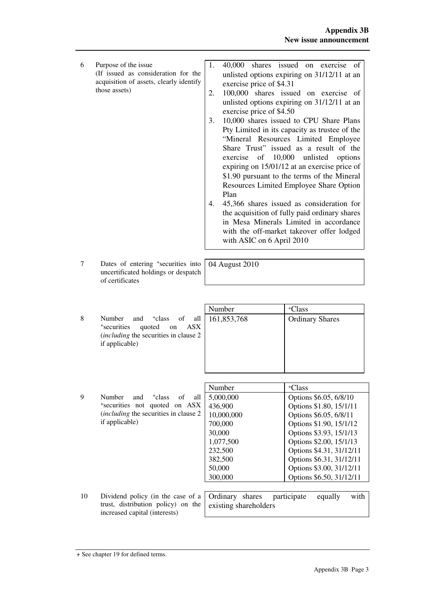| 6 | Purpose of the issue<br>(If issued as consideration for the<br>acquisition of assets, clearly identify<br>those assets) | 1. | 40,000 shares issued on exercise<br>of<br>unlisted options expiring on 31/12/11 at an<br>exercise price of \$4.31             |
|---|-------------------------------------------------------------------------------------------------------------------------|----|-------------------------------------------------------------------------------------------------------------------------------|
|   |                                                                                                                         | 2. | 100,000 shares issued on exercise of<br>unlisted options expiring on 31/12/11 at an<br>exercise price of \$4.50               |
|   |                                                                                                                         | 3. | 10,000 shares issued to CPU Share Plans                                                                                       |
|   |                                                                                                                         |    | Pty Limited in its capacity as trustee of the                                                                                 |
|   |                                                                                                                         |    | "Mineral Resources Limited Employee"                                                                                          |
|   |                                                                                                                         |    | Share Trust" issued as a result of the<br>exercise of 10,000 unlisted options<br>expiring on 15/01/12 at an exercise price of |
|   |                                                                                                                         |    | \$1.90 pursuant to the terms of the Mineral                                                                                   |
|   |                                                                                                                         |    | Resources Limited Employee Share Option<br>Plan                                                                               |
|   |                                                                                                                         | 4. | 45,366 shares issued as consideration for                                                                                     |
|   |                                                                                                                         |    | the acquisition of fully paid ordinary shares                                                                                 |
|   |                                                                                                                         |    | in Mesa Minerals Limited in accordance                                                                                        |
|   |                                                                                                                         |    | with the off-market takeover offer lodged<br>with ASIC on 6 April 2010                                                        |

04 August 2010

- 7 Dates of entering <sup>+</sup> securities into uncertificated holdings or despatch of certificates
- 8 Number and <sup>+</sup>class of all + securities quoted on ASX (*including* the securities in clause 2 if applicable)

|   |                                                  | Number | <sup>+</sup> Class     |
|---|--------------------------------------------------|--------|------------------------|
| 8 | Number and <sup>+</sup> class of all 161,853,768 |        | <b>Ordinary Shares</b> |
|   | *securities<br>quoted on ASX                     |        |                        |
|   | <i>(including the securities in clause 2)</i>    |        |                        |
|   | if applicable)                                   |        |                        |
|   |                                                  |        |                        |
|   |                                                  |        |                        |

|   |                                                                 | Number     | <sup>+</sup> Class       |
|---|-----------------------------------------------------------------|------------|--------------------------|
| 9 | <b>Number</b><br>and<br><sup>+</sup> class<br>all<br>of         | 5,000,000  | Options \$6.05, 6/8/10   |
|   | *securities not quoted on ASX                                   | 436,900    | Options \$1.80, 15/1/11  |
|   | <i>(including the securities in clause 2)</i><br>if applicable) | 10,000,000 | Options \$6.05, 6/8/11   |
|   |                                                                 | 700,000    | Options \$1.90, 15/1/12  |
|   |                                                                 | 30,000     | Options \$3.93, 15/1/13  |
|   |                                                                 | 1,077,500  | Options \$2.00, 15/1/13  |
|   |                                                                 | 232,500    | Options \$4.31, 31/12/11 |
|   |                                                                 | 382,500    | Options \$6.31, 31/12/11 |
|   |                                                                 | 50,000     | Options \$3.00, 31/12/11 |
|   |                                                                 | 300,000    | Options \$6.50, 31/12/11 |
|   |                                                                 |            |                          |

10 Dividend policy (in the case of a trust, distribution policy) on the increased capital (interests) Ordinary shares participate equally with existing shareholders

<sup>+</sup> See chapter 19 for defined terms.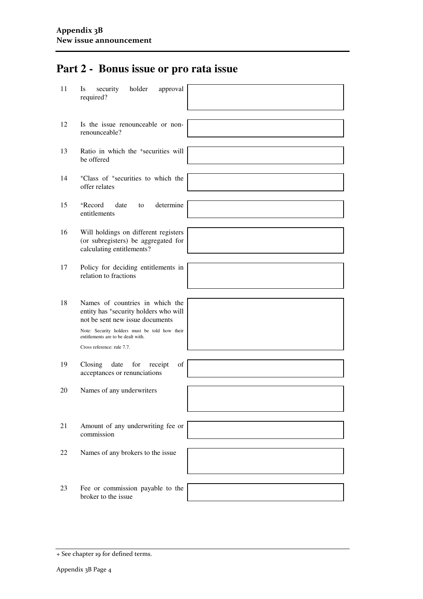# **Part 2 - Bonus issue or pro rata issue**

| 11 | security<br>holder<br>approval<br><b>Is</b><br>required?                                                    |  |
|----|-------------------------------------------------------------------------------------------------------------|--|
| 12 | Is the issue renounceable or non-<br>renounceable?                                                          |  |
| 13 | Ratio in which the <sup>+</sup> securities will<br>be offered                                               |  |
| 14 | <sup>+</sup> Class of <sup>+</sup> securities to which the<br>offer relates                                 |  |
| 15 | <sup>+</sup> Record<br>date<br>determine<br>to<br>entitlements                                              |  |
| 16 | Will holdings on different registers<br>(or subregisters) be aggregated for<br>calculating entitlements?    |  |
| 17 | Policy for deciding entitlements in<br>relation to fractions                                                |  |
|    |                                                                                                             |  |
| 18 | Names of countries in which the<br>entity has *security holders who will<br>not be sent new issue documents |  |
|    | Note: Security holders must be told how their<br>entitlements are to be dealt with.                         |  |
|    | Cross reference: rule 7.7.                                                                                  |  |
|    |                                                                                                             |  |
| 19 | Closing<br>date<br>for<br>of<br>receipt<br>acceptances or renunciations                                     |  |
| 20 | Names of any underwriters                                                                                   |  |
|    |                                                                                                             |  |
|    |                                                                                                             |  |
| 21 | Amount of any underwriting fee or<br>commission                                                             |  |
|    |                                                                                                             |  |
| 22 | Names of any brokers to the issue                                                                           |  |
|    |                                                                                                             |  |
| 23 | Fee or commission payable to the<br>broker to the issue                                                     |  |
|    |                                                                                                             |  |

<sup>+</sup> See chapter 19 for defined terms.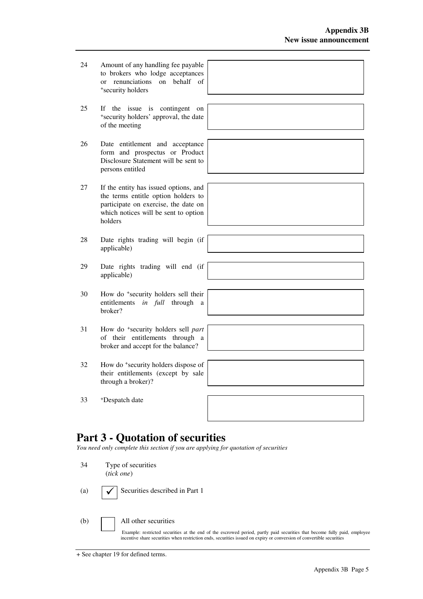- 24 Amount of any handling fee payable to brokers who lodge acceptances or renunciations on behalf of + security holders
- 25 If the issue is contingent on + security holders' approval, the date of the meeting
- 26 Date entitlement and acceptance form and prospectus or Product Disclosure Statement will be sent to persons entitled
- 27 If the entity has issued options, and the terms entitle option holders to participate on exercise, the date on which notices will be sent to option holders
- 28 Date rights trading will begin (if applicable)
- 29 Date rights trading will end (if applicable)
- 30 How do <sup>+</sup> security holders sell their entitlements *in full* through a broker?
- 31 How do <sup>+</sup> security holders sell *part* of their entitlements through a broker and accept for the balance?
- 32 How do <sup>+</sup> security holders dispose of their entitlements (except by sale through a broker)?
- 33 <sup>+</sup>Despatch date



### **Part 3 - Quotation of securities**

*You need only complete this section if you are applying for quotation of securities* 

34 Type of securities (*tick one*) (a)  $\bigcup$  Securities described in Part 1 (b) All other securities Example: restricted securities at the end of the escrowed period, partly paid securities that become fully paid, employee incentive share securities when restriction ends, securities issued on expiry or conversion of convertible securities

|  |  | + See chapter 19 for defined terms. |  |  |  |  |
|--|--|-------------------------------------|--|--|--|--|
|--|--|-------------------------------------|--|--|--|--|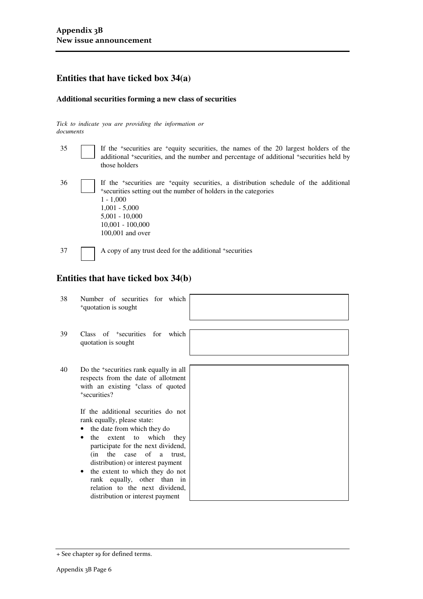#### **Entities that have ticked box 34(a)**

#### **Additional securities forming a new class of securities**

*Tick to indicate you are providing the information or documents*

| 35 | If the <sup>+</sup> securities are <sup>+</sup> equity securities, the names of the 20 largest holders of the<br>additional *securities, and the number and percentage of additional *securities held by<br>those holders                                                         |
|----|-----------------------------------------------------------------------------------------------------------------------------------------------------------------------------------------------------------------------------------------------------------------------------------|
| 36 | If the <sup>+</sup> securities are <sup>+</sup> equity securities, a distribution schedule of the additional<br>*securities setting out the number of holders in the categories<br>$1 - 1,000$<br>$1,001 - 5,000$<br>$5,001 - 10,000$<br>$10,001 - 100,000$<br>$100,001$ and over |
| 37 | A copy of any trust deed for the additional +securities                                                                                                                                                                                                                           |

#### **Entities that have ticked box 34(b)**

| 38 | Number of securities for which<br><sup>+</sup> quotation is sought                                                                                                                                                                                                                                                                                                                                                                                                                                                                                                 |  |
|----|--------------------------------------------------------------------------------------------------------------------------------------------------------------------------------------------------------------------------------------------------------------------------------------------------------------------------------------------------------------------------------------------------------------------------------------------------------------------------------------------------------------------------------------------------------------------|--|
| 39 | Class of <sup>+</sup> securities for which<br>quotation is sought                                                                                                                                                                                                                                                                                                                                                                                                                                                                                                  |  |
| 40 | Do the <sup>+</sup> securities rank equally in all<br>respects from the date of allotment<br>with an existing <sup>+</sup> class of quoted<br><sup>+</sup> securities?<br>If the additional securities do not<br>rank equally, please state:<br>the date from which they do<br>extent to which they<br>the<br>participate for the next dividend,<br>the case of<br>(in<br>trust.<br>a<br>distribution) or interest payment<br>the extent to which they do not<br>rank equally, other than in<br>relation to the next dividend.<br>distribution or interest payment |  |

<sup>+</sup> See chapter 19 for defined terms.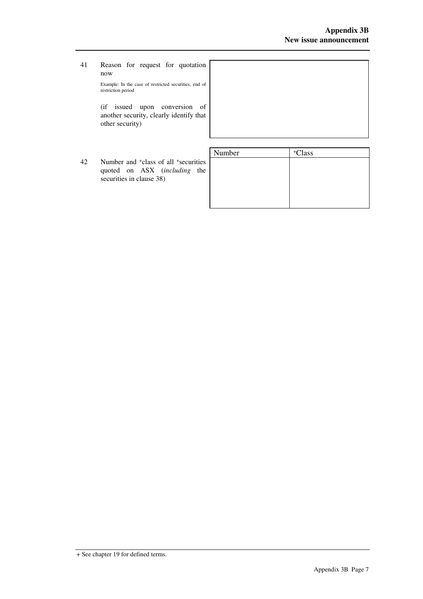- 41 Reason for request for quotation now Example: In the case of restricted securities, end of restriction period (if issued upon conversion of another security, clearly identify that other security) Number | +Class
	- 42 Number and <sup>+</sup>class of all <sup>+</sup> securities quoted on ASX (*including* the securities in clause 38)

| +Class |
|--------|
|        |
|        |
|        |
|        |
|        |
|        |

<sup>+</sup> See chapter 19 for defined terms.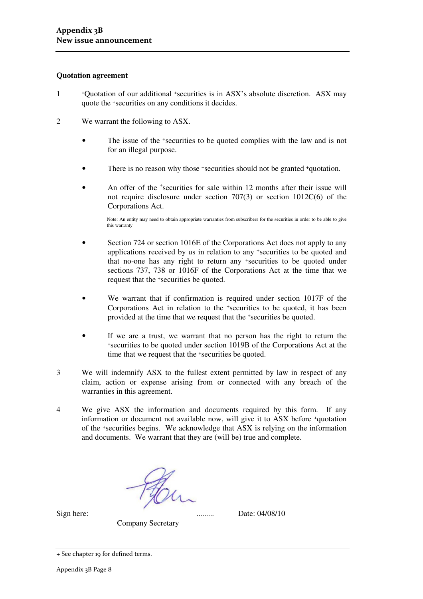#### **Quotation agreement**

- 1 +Quotation of our additional +securities is in ASX's absolute discretion. ASX may quote the +securities on any conditions it decides.
- 2 We warrant the following to ASX.
	- The issue of the <sup>+</sup>securities to be quoted complies with the law and is not for an illegal purpose.
	- There is no reason why those +securities should not be granted +quotation.
	- An offer of the <sup>+</sup>securities for sale within 12 months after their issue will not require disclosure under section 707(3) or section 1012C(6) of the Corporations Act.

Note: An entity may need to obtain appropriate warranties from subscribers for the securities in order to be able to give this warranty

- Section 724 or section 1016E of the Corporations Act does not apply to any applications received by us in relation to any +securities to be quoted and that no-one has any right to return any +securities to be quoted under sections 737, 738 or 1016F of the Corporations Act at the time that we request that the +securities be quoted.
- We warrant that if confirmation is required under section 1017F of the Corporations Act in relation to the +securities to be quoted, it has been provided at the time that we request that the +securities be quoted.
- If we are a trust, we warrant that no person has the right to return the <sup>+</sup>securities to be quoted under section 1019B of the Corporations Act at the time that we request that the <sup>+</sup>securities be quoted.
- 3 We will indemnify ASX to the fullest extent permitted by law in respect of any claim, action or expense arising from or connected with any breach of the warranties in this agreement.
- 4 We give ASX the information and documents required by this form. If any information or document not available now, will give it to ASX before +quotation of the +securities begins. We acknowledge that ASX is relying on the information and documents. We warrant that they are (will be) true and complete.

Sign here: ......... Date: 04/08/10

Company Secretary

<sup>+</sup> See chapter 19 for defined terms.